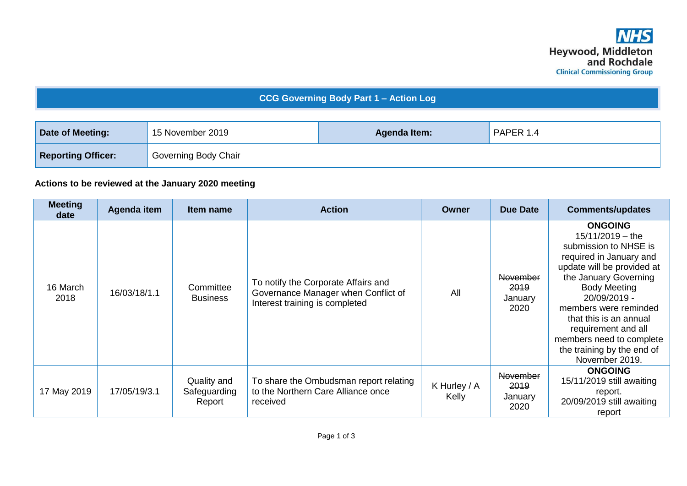## **CCG Governing Body Part 1 – Action Log**

| Date of Meeting:          | 15 November 2019     | Agenda Item: | PAPER 1.4 |
|---------------------------|----------------------|--------------|-----------|
| <b>Reporting Officer:</b> | Governing Body Chair |              |           |

## **Actions to be reviewed at the January 2020 meeting**

| <b>Meeting</b><br>date | Agenda item  | Item name                             | <b>Action</b>                                                                                                | Owner                 | <b>Due Date</b>                            | <b>Comments/updates</b>                                                                                                                                                                                                                                                                                                                      |
|------------------------|--------------|---------------------------------------|--------------------------------------------------------------------------------------------------------------|-----------------------|--------------------------------------------|----------------------------------------------------------------------------------------------------------------------------------------------------------------------------------------------------------------------------------------------------------------------------------------------------------------------------------------------|
| 16 March<br>2018       | 16/03/18/1.1 | Committee<br><b>Business</b>          | To notify the Corporate Affairs and<br>Governance Manager when Conflict of<br>Interest training is completed | All                   | November<br><b>2019</b><br>January<br>2020 | <b>ONGOING</b><br>$15/11/2019 -$ the<br>submission to NHSE is<br>required in January and<br>update will be provided at<br>the January Governing<br><b>Body Meeting</b><br>20/09/2019 -<br>members were reminded<br>that this is an annual<br>requirement and all<br>members need to complete<br>the training by the end of<br>November 2019. |
| 17 May 2019            | 17/05/19/3.1 | Quality and<br>Safeguarding<br>Report | To share the Ombudsman report relating<br>to the Northern Care Alliance once<br>received                     | K Hurley / A<br>Kelly | November<br>2019<br>January<br>2020        | <b>ONGOING</b><br>15/11/2019 still awaiting<br>report.<br>20/09/2019 still awaiting<br>report                                                                                                                                                                                                                                                |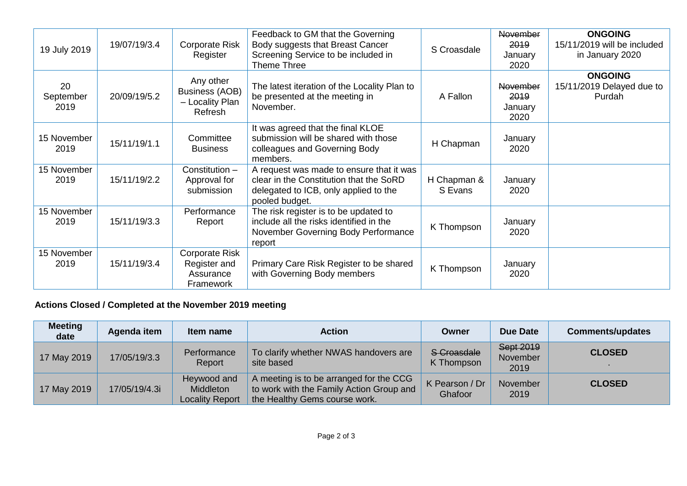| 19 July 2019            | 19/07/19/3.4 | <b>Corporate Risk</b><br>Register                                | Feedback to GM that the Governing<br>Body suggests that Breast Cancer<br>Screening Service to be included in<br>Theme Three                    | S Croasdale            | <b>November</b><br>2019<br>January<br>2020 | <b>ONGOING</b><br>15/11/2019 will be included<br>in January 2020 |
|-------------------------|--------------|------------------------------------------------------------------|------------------------------------------------------------------------------------------------------------------------------------------------|------------------------|--------------------------------------------|------------------------------------------------------------------|
| 20<br>September<br>2019 | 20/09/19/5.2 | Any other<br><b>Business (AOB)</b><br>- Locality Plan<br>Refresh | The latest iteration of the Locality Plan to<br>be presented at the meeting in<br>November.                                                    | A Fallon               | November<br>2019<br>January<br>2020        | <b>ONGOING</b><br>15/11/2019 Delayed due to<br>Purdah            |
| 15 November<br>2019     | 15/11/19/1.1 | Committee<br><b>Business</b>                                     | It was agreed that the final KLOE<br>submission will be shared with those<br>colleagues and Governing Body<br>members.                         | H Chapman              | January<br>2020                            |                                                                  |
| 15 November<br>2019     | 15/11/19/2.2 | Constitution -<br>Approval for<br>submission                     | A request was made to ensure that it was<br>clear in the Constitution that the SoRD<br>delegated to ICB, only applied to the<br>pooled budget. | H Chapman &<br>S Evans | January<br>2020                            |                                                                  |
| 15 November<br>2019     | 15/11/19/3.3 | Performance<br>Report                                            | The risk register is to be updated to<br>include all the risks identified in the<br>November Governing Body Performance<br>report              | K Thompson             | January<br>2020                            |                                                                  |
| 15 November<br>2019     | 15/11/19/3.4 | Corporate Risk<br>Register and<br>Assurance<br>Framework         | Primary Care Risk Register to be shared<br>with Governing Body members                                                                         | K Thompson             | January<br>2020                            |                                                                  |

## **Actions Closed / Completed at the November 2019 meeting**

| <b>Meeting</b><br>date | Agenda item   | Item name                                          | <b>Action</b>                                                                                                        | Owner                     | <b>Due Date</b>               | <b>Comments/updates</b> |
|------------------------|---------------|----------------------------------------------------|----------------------------------------------------------------------------------------------------------------------|---------------------------|-------------------------------|-------------------------|
| 17 May 2019            | 17/05/19/3.3  | Performance<br>Report                              | To clarify whether NWAS handovers are<br>site based                                                                  | S-Croasdale<br>K Thompson | Sept 2019<br>November<br>2019 | <b>CLOSED</b>           |
| 17 May 2019            | 17/05/19/4.3i | Heywood and<br>Middleton<br><b>Locality Report</b> | A meeting is to be arranged for the CCG<br>to work with the Family Action Group and<br>the Healthy Gems course work. | K Pearson / Dr<br>Ghafoor | <b>November</b><br>2019       | <b>CLOSED</b>           |